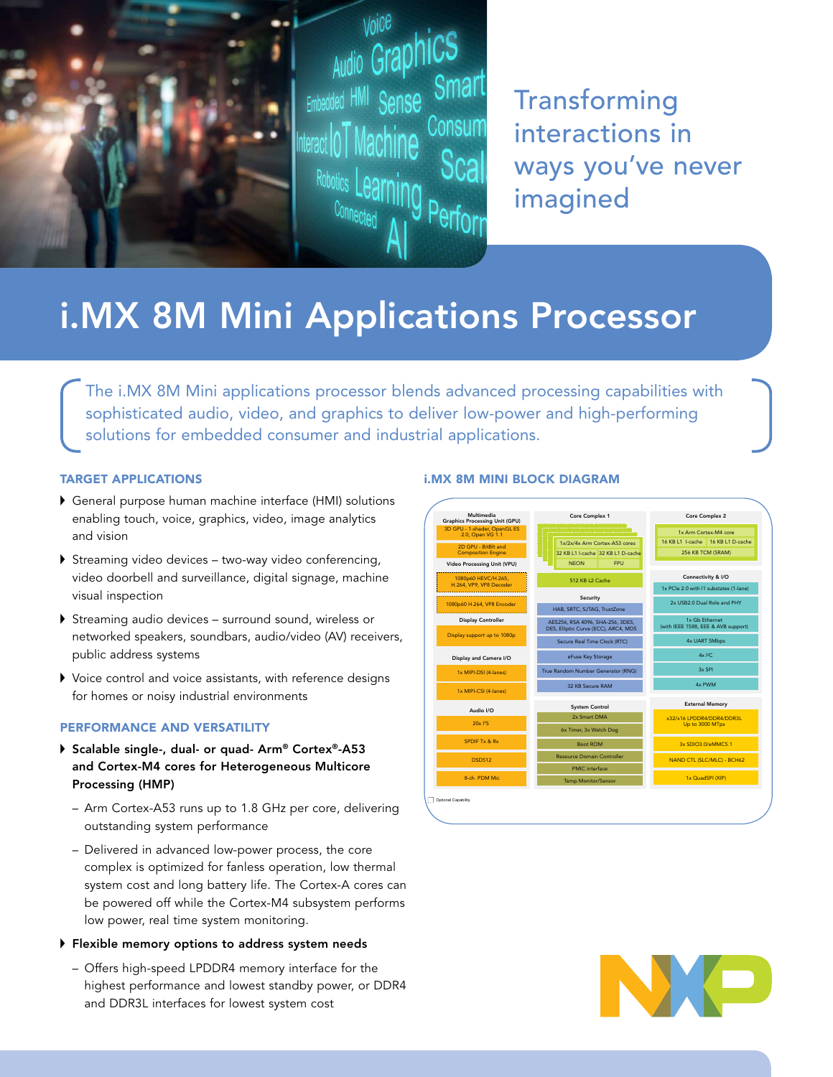

**Transforming** interactions in ways you've never imagined

# i.MX 8M Mini Applications Processor

The i.MX 8M Mini applications processor blends advanced processing capabilities with sophisticated audio, video, and graphics to deliver low-power and high-performing solutions for embedded consumer and industrial applications.

# TARGET APPLICATIONS

- General purpose human machine interface (HMI) solutions enabling touch, voice, graphics, video, image analytics and vision
- Streaming video devices two-way video conferencing, video doorbell and surveillance, digital signage, machine visual inspection
- Streaming audio devices surround sound, wireless or networked speakers, soundbars, audio/video (AV) receivers, public address systems
- Voice control and voice assistants, with reference designs for homes or noisy industrial environments

#### PERFORMANCE AND VERSATILITY

- ▶ Scalable single-, dual- or quad- Arm® Cortex®-A53 and Cortex-M4 cores for Heterogeneous Multicore Processing (HMP)
	- Arm Cortex-A53 runs up to 1.8 GHz per core, delivering outstanding system performance
	- Delivered in advanced low-power process, the core complex is optimized for fanless operation, low thermal system cost and long battery life. The Cortex-A cores can be powered off while the Cortex-M4 subsystem performs low power, real time system monitoring.

#### Flexible memory options to address system needs

– Offers high-speed LPDDR4 memory interface for the highest performance and lowest standby power, or DDR4 and DDR3L interfaces for lowest system cost

# i.MX 8M MINI BLOCK DIAGRAM